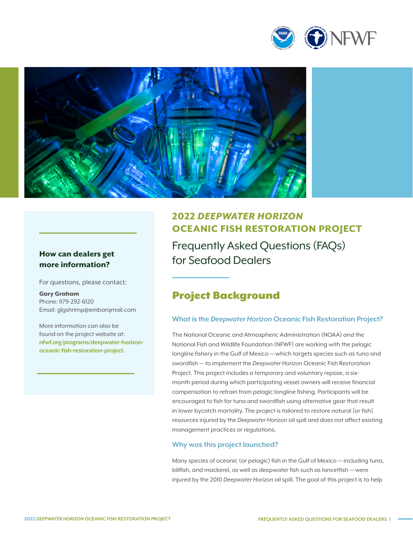



# How can dealers get<br>
For Seafood Dealers more information?

For questions, please contact:

Gary Graham Phone: 979-292-6120 Email: [glgshrimp@embarqmail.com](mailto:gray.redding%40nfwf.org%20?subject=)

More information can also be found on the project website at: **[nfwf.org/programs/deepwater-horizon](http://www.nfwf.org/programs/deepwater-horizon-oceanic-fish-restoration-project)[oceanic-fish-restoration-project](http://www.nfwf.org/programs/deepwater-horizon-oceanic-fish-restoration-project)**.

# 2022 *DEEPWATER HORIZON* OCEANIC FISH RESTORATION PROJECT Frequently Asked Questions (FAQs)

# Project Background

# **What is the** *Deepwater Horizon* **Oceanic Fish Restoration Project?**

The National Oceanic and Atmospheric Administration (NOAA) and the National Fish and Wildlife Foundation (NFWF) are working with the pelagic longline fishery in the Gulf of Mexico — which targets species such as tuna and swordfish — to implement the *Deepwater Horizon* Oceanic Fish Restoration Project. This project includes a temporary and voluntary repose, a sixmonth period during which participating vessel owners will receive financial compensation to refrain from pelagic longline fishing. Participants will be encouraged to fish for tuna and swordfish using alternative gear that result in lower bycatch mortality. The project is tailored to restore natural [or fish] resources injured by the *Deepwater Horizon* oil spill and does not affect existing management practices or regulations.

#### **Why was this project launched?**

Many species of oceanic (or pelagic) fish in the Gulf of Mexico — including tuna, billfish, and mackerel, as well as deepwater fish such as lancetfish — were injured by the 2010 *Deepwater Horizon* oil spill. The goal of this project is to help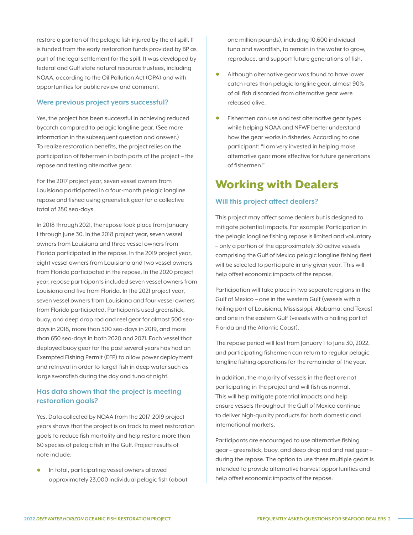restore a portion of the pelagic fish injured by the oil spill. It is funded from the early restoration funds provided by BP as part of the legal settlement for the spill. It was developed by federal and Gulf state natural resource trustees, including NOAA, according to the Oil Pollution Act (OPA) and with opportunities for public review and comment.

#### **Were previous project years successful?**

Yes, the project has been successful in achieving reduced bycatch compared to pelagic longline gear. (See more information in the subsequent question and answer.) To realize restoration benefits, the project relies on the participation of fishermen in both parts of the project – the repose and testing alternative gear.

For the 2017 project year, seven vessel owners from Louisiana participated in a four-month pelagic longline repose and fished using greenstick gear for a collective total of 280 sea-days.

In 2018 through 2021, the repose took place from January 1 through June 30. In the 2018 project year, seven vessel owners from Louisiana and three vessel owners from Florida participated in the repose. In the 2019 project year, eight vessel owners from Louisiana and two vessel owners from Florida participated in the repose. In the 2020 project year, repose participants included seven vessel owners from Louisiana and five from Florida. In the 2021 project year, seven vessel owners from Louisiana and four vessel owners from Florida participated. Participants used greenstick, buoy, and deep drop rod and reel gear for almost 500 seadays in 2018, more than 500 sea-days in 2019, and more than 650 sea-days in both 2020 and 2021. Each vessel that deployed buoy gear for the past several years has had an Exempted Fishing Permit (EFP) to allow power deployment and retrieval in order to target fish in deep water such as large swordfish during the day and tuna at night.

## **Has data shown that the project is meeting restoration goals?**

Yes. Data collected by NOAA from the 2017-2019 project years shows that the project is on track to meet restoration goals to reduce fish mortality and help restore more than 60 species of pelagic fish in the Gulf. Project results of note include:

• In total, participating vessel owners allowed approximately 23,000 individual pelagic fish (about one million pounds), including 10,600 individual tuna and swordfish, to remain in the water to grow, reproduce, and support future generations of fish.

- Although alternative gear was found to have lower catch rates than pelagic longline gear, almost 90% of all fish discarded from alternative gear were released alive.
- Fishermen can use and test alternative gear types while helping NOAA and NFWF better understand how the gear works in fisheries. According to one participant: "I am very invested in helping make alternative gear more effective for future generations of fishermen."

# Working with Dealers

#### **Will this project affect dealers?**

This project may affect some dealers but is designed to mitigate potential impacts. For example: Participation in the pelagic longline fishing repose is limited and voluntary – only a portion of the approximately 30 active vessels comprising the Gulf of Mexico pelagic longline fishing fleet will be selected to participate in any given year. This will help offset economic impacts of the repose.

Participation will take place in two separate regions in the Gulf of Mexico – one in the western Gulf (vessels with a hailing port of Louisiana, Mississippi, Alabama, and Texas) and one in the eastern Gulf (vessels with a hailing port of Florida and the Atlantic Coast).

The repose period will last from January 1 to June 30, 2022, and participating fishermen can return to regular pelagic longline fishing operations for the remainder of the year.

In addition, the majority of vessels in the fleet are not participating in the project and will fish as normal. This will help mitigate potential impacts and help ensure vessels throughout the Gulf of Mexico continue to deliver high-quality products for both domestic and international markets.

Participants are encouraged to use alternative fishing gear – greenstick, buoy, and deep drop rod and reel gear – during the repose. The option to use these multiple gears is intended to provide alternative harvest opportunities and help offset economic impacts of the repose.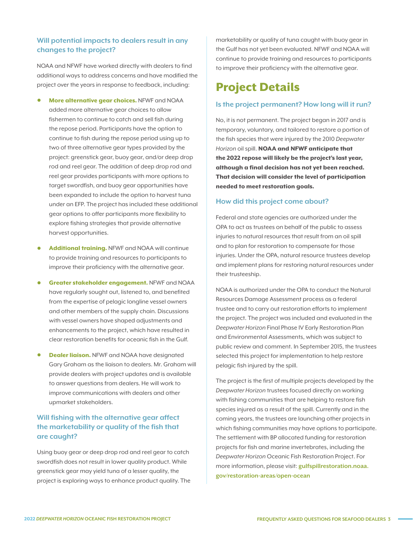# **Will potential impacts to dealers result in any changes to the project?**

NOAA and NFWF have worked directly with dealers to find additional ways to address concerns and have modified the project over the years in response to feedback, including:

- More alternative gear choices. NFWF and NOAA added more alternative gear choices to allow fishermen to continue to catch and sell fish during the repose period. Participants have the option to continue to fish during the repose period using up to two of three alternative gear types provided by the project: greenstick gear, buoy gear, and/or deep drop rod and reel gear. The addition of deep drop rod and reel gear provides participants with more options to target swordfish, and buoy gear opportunities have been expanded to include the option to harvest tuna under an EFP. The project has included these additional gear options to offer participants more flexibility to explore fishing strategies that provide alternative harvest opportunities.
- **Additional training.** NFWF and NOAA will continue to provide training and resources to participants to improve their proficiency with the alternative gear.
- Greater stakeholder engagement. NFWF and NOAA have regularly sought out, listened to, and benefited from the expertise of pelagic longline vessel owners and other members of the supply chain. Discussions with vessel owners have shaped adjustments and enhancements to the project, which have resulted in clear restoration benefits for oceanic fish in the Gulf.
- **Dealer liaison.** NFWF and NOAA have designated Gary Graham as the liaison to dealers. Mr. Graham will provide dealers with project updates and is available to answer questions from dealers. He will work to improve communications with dealers and other upmarket stakeholders.

# **Will fishing with the alternative gear affect the marketability or quality of the fish that are caught?**

Using buoy gear or deep drop rod and reel gear to catch swordfish does not result in lower quality product. While greenstick gear may yield tuna of a lesser quality, the project is exploring ways to enhance product quality. The marketability or quality of tuna caught with buoy gear in the Gulf has not yet been evaluated. NFWF and NOAA will continue to provide training and resources to participants to improve their proficiency with the alternative gear.

# Project Details

#### **Is the project permanent? How long will it run?**

No, it is not permanent. The project began in 2017 and is temporary, voluntary, and tailored to restore a portion of the fish species that were injured by the 2010 *Deepwater Horizon* oil spill. NOAA and NFWF anticipate that the 2022 repose will likely be the project's last year, although a final decision has not yet been reached. That decision will consider the level of participation needed to meet restoration goals.

#### **How did this project come about?**

Federal and state agencies are authorized under the OPA to act as trustees on behalf of the public to assess injuries to natural resources that result from an oil spill and to plan for restoration to compensate for those injuries. Under the OPA, natural resource trustees develop and implement plans for restoring natural resources under their trusteeship.

NOAA is authorized under the OPA to conduct the Natural Resources Damage Assessment process as a federal trustee and to carry out restoration efforts to implement the project. The project was included and evaluated in the *Deepwater Horizon* Final Phase IV Early Restoration Plan and Environmental Assessments, which was subject to public review and comment. In September 2015, the trustees selected this project for implementation to help restore pelagic fish injured by the spill.

The project is the first of multiple projects developed by the *Deepwater Horizon* trustees focused directly on working with fishing communities that are helping to restore fish species injured as a result of the spill. Currently and in the coming years, the trustees are launching other projects in which fishing communities may have options to participate. The settlement with BP allocated funding for restoration projects for fish and marine invertebrates, including the *Deepwater Horizon* Oceanic Fish Restoration Project. For more information, please visit: **[gulfspillrestoration.noaa.](https://www.gulfspillrestoration.noaa.gov/restoration-areas/open-ocean) [gov/restoration-areas/open-ocean](https://www.gulfspillrestoration.noaa.gov/restoration-areas/open-ocean)**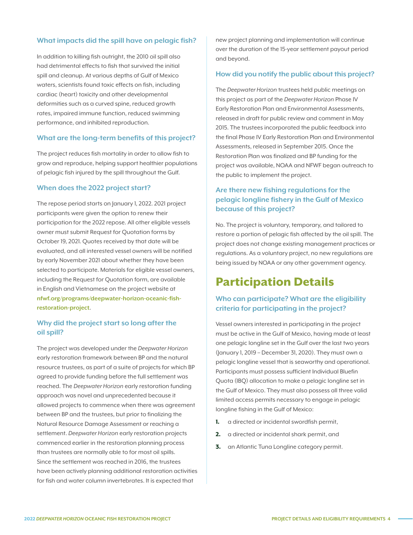#### **What impacts did the spill have on pelagic fish?**

In addition to killing fish outright, the 2010 oil spill also had detrimental effects to fish that survived the initial spill and cleanup. At various depths of Gulf of Mexico waters, scientists found toxic effects on fish, including cardiac (heart) toxicity and other developmental deformities such as a curved spine, reduced growth rates, impaired immune function, reduced swimming performance, and inhibited reproduction.

#### **What are the long-term benefits of this project?**

The project reduces fish mortality in order to allow fish to grow and reproduce, helping support healthier populations of pelagic fish injured by the spill throughout the Gulf.

#### **When does the 2022 project start?**

The repose period starts on January 1, 2022. 2021 project participants were given the option to renew their participation for the 2022 repose. All other eligible vessels owner must submit Request for Quotation forms by October 19, 2021. Quotes received by that date will be evaluated, and all interested vessel owners will be notified by early November 2021 about whether they have been selected to participate. Materials for eligible vessel owners, including the Request for Quotation form, are available in English and Vietnamese on the project website at **[nfwf.org/programs/deepwater-horizon-oceanic-fish](http://www.nfwf.org/programs/deepwater-horizon-oceanic-fish-restoration-project)[restoration-project](http://www.nfwf.org/programs/deepwater-horizon-oceanic-fish-restoration-project)**.

# **Why did the project start so long after the oil spill?**

The project was developed under the *Deepwater Horizon* early restoration framework between BP and the natural resource trustees, as part of a suite of projects for which BP agreed to provide funding before the full settlement was reached. The *Deepwater Horizon* early restoration funding approach was novel and unprecedented because it allowed projects to commence when there was agreement between BP and the trustees, but prior to finalizing the Natural Resource Damage Assessment or reaching a settlement. *Deepwater Horizon* early restoration projects commenced earlier in the restoration planning process than trustees are normally able to for most oil spills. Since the settlement was reached in 2016, the trustees have been actively planning additional restoration activities for fish and water column invertebrates. It is expected that

new project planning and implementation will continue over the duration of the 15-year settlement payout period and beyond.

#### **How did you notify the public about this project?**

The *Deepwater Horizon* trustees held public meetings on this project as part of the *Deepwater Horizon* Phase IV Early Restoration Plan and Environmental Assessments, released in draft for public review and comment in May 2015. The trustees incorporated the public feedback into the final Phase IV Early Restoration Plan and Environmental Assessments, released in September 2015. Once the Restoration Plan was finalized and BP funding for the project was available, NOAA and NFWF began outreach to the public to implement the project.

# **Are there new fishing regulations for the pelagic longline fishery in the Gulf of Mexico because of this project?**

No. The project is voluntary, temporary, and tailored to restore a portion of pelagic fish affected by the oil spill. The project does not change existing management practices or regulations. As a voluntary project, no new regulations are being issued by NOAA or any other government agency.

# Participation Details

### **Who can participate? What are the eligibility criteria for participating in the project?**

Vessel owners interested in participating in the project must be active in the Gulf of Mexico, having made at least one pelagic longline set in the Gulf over the last two years (January 1, 2019 – December 31, 2020). They must own a pelagic longline vessel that is seaworthy and operational. Participants must possess sufficient Individual Bluefin Quota (IBQ) allocation to make a pelagic longline set in the Gulf of Mexico. They must also possess all three valid limited access permits necessary to engage in pelagic longline fishing in the Gulf of Mexico:

- 1. a directed or incidental swordfish permit,
- 2. a directed or incidental shark permit, and
- **3.** an Atlantic Tuna Longline category permit.